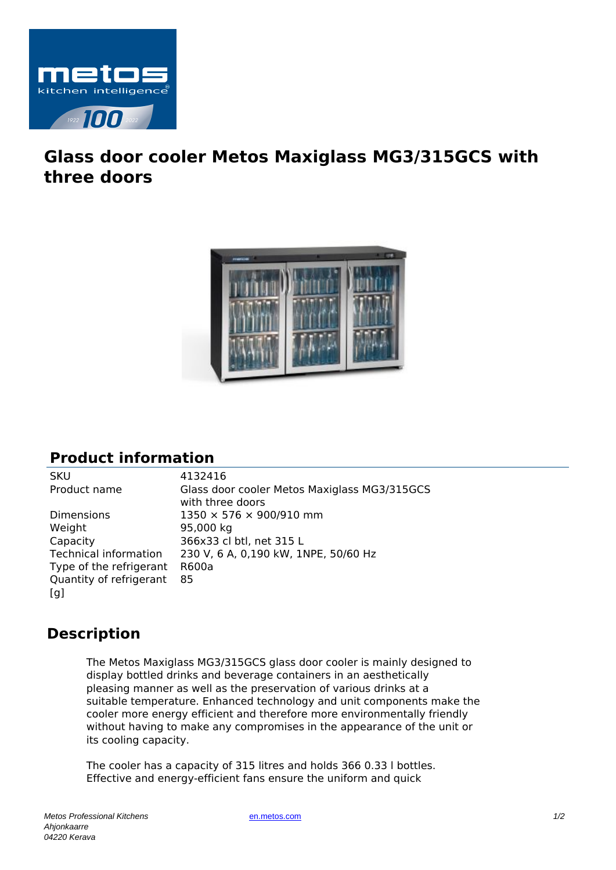

## **Glass door cooler Metos Maxiglass MG3/315GCS with three doors**



## **Product information**

Dimensions 1350 × 576 × 900/910 mm Weight 95,000 kg Capacity 366x33 cl btl, net 315 L Type of the refrigerant R600a Quantity of refrigerant  $[a]$ 85

SKU 4132416 Product name Glass door cooler Metos Maxiglass MG3/315GCS with three doors Technical information 230 V, 6 A, 0,190 kW, 1NPE, 50/60 Hz

## **Description**

The Metos Maxiglass MG3/315GCS glass door cooler is mainly designed to display bottled drinks and beverage containers in an aesthetically pleasing manner as well as the preservation of various drinks at a suitable temperature. Enhanced technology and unit components make the cooler more energy efficient and therefore more environmentally friendly without having to make any compromises in the appearance of the unit or its cooling capacity.

The cooler has a capacity of 315 litres and holds 366 0.33 l bottles. Effective and energy-efficient fans ensure the uniform and quick